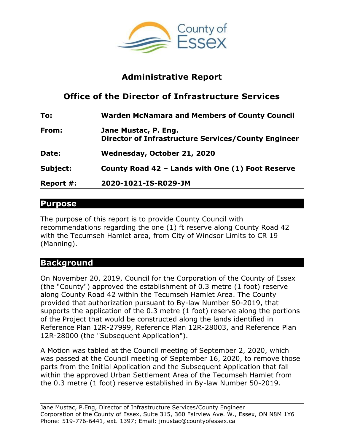

# **Administrative Report**

# **Office of the Director of Infrastructure Services**

| To:       | <b>Warden McNamara and Members of County Council</b>                        |
|-----------|-----------------------------------------------------------------------------|
| From:     | Jane Mustac, P. Eng.<br>Director of Infrastructure Services/County Engineer |
| Date:     | Wednesday, October 21, 2020                                                 |
| Subject:  | County Road 42 - Lands with One (1) Foot Reserve                            |
| Report #: | 2020-1021-IS-R029-JM                                                        |

## **Purpose**

The purpose of this report is to provide County Council with recommendations regarding the one (1) ft reserve along County Road 42 with the Tecumseh Hamlet area, from City of Windsor Limits to CR 19 (Manning).

## **Background**

On November 20, 2019, Council for the Corporation of the County of Essex (the "County") approved the establishment of 0.3 metre (1 foot) reserve along County Road 42 within the Tecumseh Hamlet Area. The County provided that authorization pursuant to By-law Number 50-2019, that supports the application of the 0.3 metre (1 foot) reserve along the portions of the Project that would be constructed along the lands identified in Reference Plan 12R-27999, Reference Plan 12R-28003, and Reference Plan 12R-28000 (the "Subsequent Application").

A Motion was tabled at the Council meeting of September 2, 2020, which was passed at the Council meeting of September 16, 2020, to remove those parts from the Initial Application and the Subsequent Application that fall within the approved Urban Settlement Area of the Tecumseh Hamlet from the 0.3 metre (1 foot) reserve established in By-law Number 50-2019.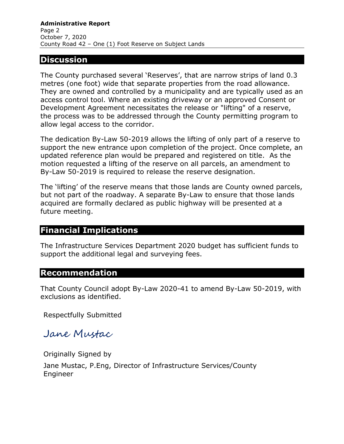#### **Discussion**

The County purchased several 'Reserves', that are narrow strips of land 0.3 metres (one foot) wide that separate properties from the road allowance. They are owned and controlled by a municipality and are typically used as an access control tool. Where an existing driveway or an approved Consent or Development Agreement necessitates the release or "lifting" of a reserve, the process was to be addressed through the County permitting program to allow legal access to the corridor.

The dedication By-Law 50-2019 allows the lifting of only part of a reserve to support the new entrance upon completion of the project. Once complete, an updated reference plan would be prepared and registered on title. As the motion requested a lifting of the reserve on all parcels, an amendment to By-Law 50-2019 is required to release the reserve designation.

The 'lifting' of the reserve means that those lands are County owned parcels, but not part of the roadway. A separate By-Law to ensure that those lands acquired are formally declared as public highway will be presented at a future meeting.

## **Financial Implications**

The Infrastructure Services Department 2020 budget has sufficient funds to support the additional legal and surveying fees.

#### **Recommendation**

That County Council adopt By-Law 2020-41 to amend By-Law 50-2019, with exclusions as identified.

Respectfully Submitted

Jane Mustac

Originally Signed by Jane Mustac, P.Eng, Director of Infrastructure Services/County Engineer